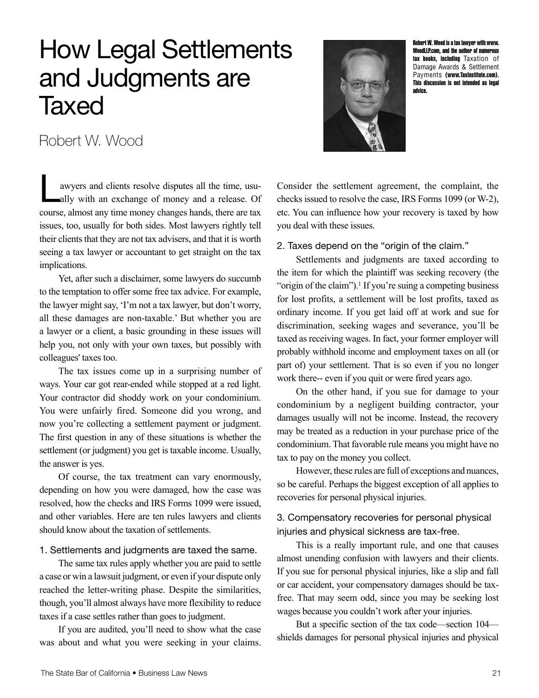# How Legal Settlements and Judgments are **Taxed**



Robert W. Wood is a tax lawyer with [www.](http://www.WoodLLP.com) [WoodLLP.com](http://www.WoodLLP.com), and the author of numerous tax books, including Taxation of Damage Awards & Settlement Payments ([www.TaxInstitute.com\)](http://www.TaxInstitute.com). This discussion is not intended as legal advice.

Robert W. Wood

awyers and clients resolve disputes all the time, usu-<br>ally with an exchange of money and a release. Of<br>course almost any time money changes hands there are tax ally with an exchange of money and a release. Of course, almost any time money changes hands, there are tax issues, too, usually for both sides. Most lawyers rightly tell their clients that they are not tax advisers, and that it is worth seeing a tax lawyer or accountant to get straight on the tax implications.

Yet, after such a disclaimer, some lawyers do succumb to the temptation to offer some free tax advice. For example, the lawyer might say, 'I'm not a tax lawyer, but don't worry, all these damages are non-taxable.' But whether you are a lawyer or a client, a basic grounding in these issues will help you, not only with your own taxes, but possibly with colleagues' taxes too.

The tax issues come up in a surprising number of ways. Your car got rear-ended while stopped at a red light. Your contractor did shoddy work on your condominium. You were unfairly fired. Someone did you wrong, and now you're collecting a settlement payment or judgment. The first question in any of these situations is whether the settlement (or judgment) you get is taxable income. Usually, the answer is yes.

Of course, the tax treatment can vary enormously, depending on how you were damaged, how the case was resolved, how the checks and IRS Forms 1099 were issued, and other variables. Here are ten rules lawyers and clients should know about the taxation of settlements.

#### 1. Settlements and judgments are taxed the same.

The same tax rules apply whether you are paid to settle a case or win a lawsuit judgment, or even if your dispute only reached the letter-writing phase. Despite the similarities, though, you'll almost always have more flexibility to reduce taxes if a case settles rather than goes to judgment.

If you are audited, you'll need to show what the case was about and what you were seeking in your claims. Consider the settlement agreement, the complaint, the checks issued to resolve the case, IRS Forms 1099 (or W-2), etc. You can influence how your recovery is taxed by how you deal with these issues.

2. Taxes depend on the "origin of the claim."

Settlements and judgments are taxed according to the item for which the plaintiff was seeking recovery (the "origin of the claim").<sup>1</sup> If you're suing a competing business for lost profits, a settlement will be lost profits, taxed as ordinary income. If you get laid off at work and sue for discrimination, seeking wages and severance, you'll be taxed as receiving wages. In fact, your former employer will probably withhold income and employment taxes on all (or part of) your settlement. That is so even if you no longer work there-- even if you quit or were fired years ago.

On the other hand, if you sue for damage to your condominium by a negligent building contractor, your damages usually will not be income. Instead, the recovery may be treated as a reduction in your purchase price of the condominium. That favorable rule means you might have no tax to pay on the money you collect.

However, these rules are full of exceptions and nuances, so be careful. Perhaps the biggest exception of all applies to recoveries for personal physical injuries.

# 3. Compensatory recoveries for personal physical injuries and physical sickness are tax-free.

This is a really important rule, and one that causes almost unending confusion with lawyers and their clients. If you sue for personal physical injuries, like a slip and fall or car accident, your compensatory damages should be taxfree. That may seem odd, since you may be seeking lost wages because you couldn't work after your injuries.

But a specific section of the tax code—section 104 shields damages for personal physical injuries and physical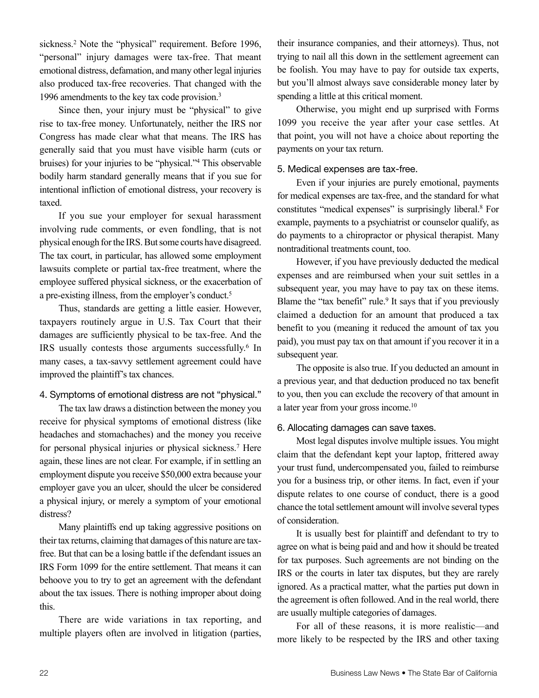sickness.<sup>2</sup> Note the "physical" requirement. Before 1996, "personal" injury damages were tax-free. That meant emotional distress, defamation, and many other legal injuries also produced tax-free recoveries. That changed with the 1996 amendments to the key tax code provision.3

Since then, your injury must be "physical" to give rise to tax-free money. Unfortunately, neither the IRS nor Congress has made clear what that means. The IRS has generally said that you must have visible harm (cuts or bruises) for your injuries to be "physical."4 This observable bodily harm standard generally means that if you sue for intentional infliction of emotional distress, your recovery is taxed.

If you sue your employer for sexual harassment involving rude comments, or even fondling, that is not physical enough for the IRS. But some courts have disagreed. The tax court, in particular, has allowed some employment lawsuits complete or partial tax-free treatment, where the employee suffered physical sickness, or the exacerbation of a pre-existing illness, from the employer's conduct.<sup>5</sup>

Thus, standards are getting a little easier. However, taxpayers routinely argue in U.S. Tax Court that their damages are sufficiently physical to be tax-free. And the IRS usually contests those arguments successfully.<sup>6</sup> In many cases, a tax-savvy settlement agreement could have improved the plaintiff's tax chances.

# 4. Symptoms of emotional distress are not "physical."

The tax law draws a distinction between the money you receive for physical symptoms of emotional distress (like headaches and stomachaches) and the money you receive for personal physical injuries or physical sickness.7 Here again, these lines are not clear. For example, if in settling an employment dispute you receive \$50,000 extra because your employer gave you an ulcer, should the ulcer be considered a physical injury, or merely a symptom of your emotional distress?

Many plaintiffs end up taking aggressive positions on their tax returns, claiming that damages of this nature are taxfree. But that can be a losing battle if the defendant issues an IRS Form 1099 for the entire settlement. That means it can behoove you to try to get an agreement with the defendant about the tax issues. There is nothing improper about doing this.

There are wide variations in tax reporting, and multiple players often are involved in litigation (parties,

their insurance companies, and their attorneys). Thus, not trying to nail all this down in the settlement agreement can be foolish. You may have to pay for outside tax experts, but you'll almost always save considerable money later by spending a little at this critical moment.

Otherwise, you might end up surprised with Forms 1099 you receive the year after your case settles. At that point, you will not have a choice about reporting the payments on your tax return.

#### 5. Medical expenses are tax-free.

Even if your injuries are purely emotional, payments for medical expenses are tax-free, and the standard for what constitutes "medical expenses" is surprisingly liberal.8 For example, payments to a psychiatrist or counselor qualify, as do payments to a chiropractor or physical therapist. Many nontraditional treatments count, too.

However, if you have previously deducted the medical expenses and are reimbursed when your suit settles in a subsequent year, you may have to pay tax on these items. Blame the "tax benefit" rule.<sup>9</sup> It says that if you previously claimed a deduction for an amount that produced a tax benefit to you (meaning it reduced the amount of tax you paid), you must pay tax on that amount if you recover it in a subsequent year.

The opposite is also true. If you deducted an amount in a previous year, and that deduction produced no tax benefit to you, then you can exclude the recovery of that amount in a later year from your gross income.10

# 6. Allocating damages can save taxes.

Most legal disputes involve multiple issues. You might claim that the defendant kept your laptop, frittered away your trust fund, undercompensated you, failed to reimburse you for a business trip, or other items. In fact, even if your dispute relates to one course of conduct, there is a good chance the total settlement amount will involve several types of consideration.

It is usually best for plaintiff and defendant to try to agree on what is being paid and and how it should be treated for tax purposes. Such agreements are not binding on the IRS or the courts in later tax disputes, but they are rarely ignored. As a practical matter, what the parties put down in the agreement is often followed. And in the real world, there are usually multiple categories of damages.

For all of these reasons, it is more realistic—and more likely to be respected by the IRS and other taxing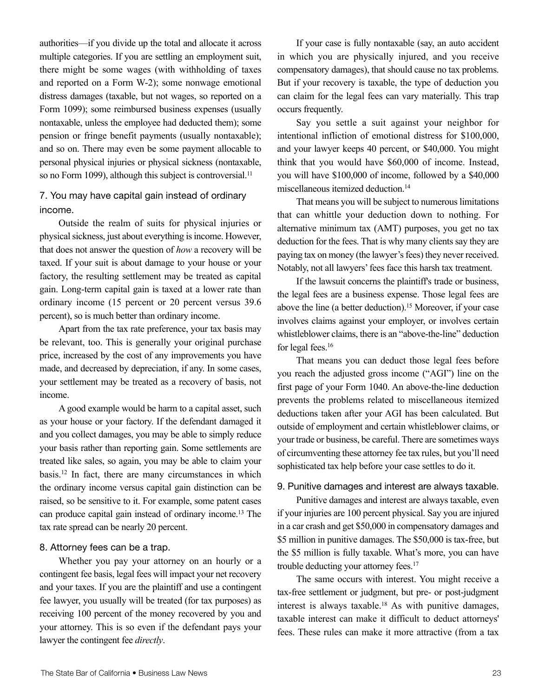authorities—if you divide up the total and allocate it across multiple categories. If you are settling an employment suit, there might be some wages (with withholding of taxes and reported on a Form W-2); some nonwage emotional distress damages (taxable, but not wages, so reported on a Form 1099); some reimbursed business expenses (usually nontaxable, unless the employee had deducted them); some pension or fringe benefit payments (usually nontaxable); and so on. There may even be some payment allocable to personal physical injuries or physical sickness (nontaxable, so no Form 1099), although this subject is controversial.<sup>11</sup>

# 7. You may have capital gain instead of ordinary income.

Outside the realm of suits for physical injuries or physical sickness, just about everything is income. However, that does not answer the question of *how* a recovery will be taxed. If your suit is about damage to your house or your factory, the resulting settlement may be treated as capital gain. Long-term capital gain is taxed at a lower rate than ordinary income (15 percent or 20 percent versus 39.6 percent), so is much better than ordinary income.

Apart from the tax rate preference, your tax basis may be relevant, too. This is generally your original purchase price, increased by the cost of any improvements you have made, and decreased by depreciation, if any. In some cases, your settlement may be treated as a recovery of basis, not income.

A good example would be harm to a capital asset, such as your house or your factory. If the defendant damaged it and you collect damages, you may be able to simply reduce your basis rather than reporting gain. Some settlements are treated like sales, so again, you may be able to claim your basis.12 In fact, there are many circumstances in which the ordinary income versus capital gain distinction can be raised, so be sensitive to it. For example, some patent cases can produce capital gain instead of ordinary income.13 The tax rate spread can be nearly 20 percent.

## 8. Attorney fees can be a trap.

Whether you pay your attorney on an hourly or a contingent fee basis, legal fees will impact your net recovery and your taxes. If you are the plaintiff and use a contingent fee lawyer, you usually will be treated (for tax purposes) as receiving 100 percent of the money recovered by you and your attorney. This is so even if the defendant pays your lawyer the contingent fee *directly*.

If your case is fully nontaxable (say, an auto accident in which you are physically injured, and you receive compensatory damages), that should cause no tax problems. But if your recovery is taxable, the type of deduction you can claim for the legal fees can vary materially. This trap occurs frequently.

Say you settle a suit against your neighbor for intentional infliction of emotional distress for \$100,000, and your lawyer keeps 40 percent, or \$40,000. You might think that you would have \$60,000 of income. Instead, you will have \$100,000 of income, followed by a \$40,000 miscellaneous itemized deduction.14

That means you will be subject to numerous limitations that can whittle your deduction down to nothing. For alternative minimum tax (AMT) purposes, you get no tax deduction for the fees. That is why many clients say they are paying tax on money (the lawyer's fees) they never received. Notably, not all lawyers' fees face this harsh tax treatment.

If the lawsuit concerns the plaintiff's trade or business, the legal fees are a business expense. Those legal fees are above the line (a better deduction).15 Moreover, if your case involves claims against your employer, or involves certain whistleblower claims, there is an "above-the-line" deduction for legal fees.16

That means you can deduct those legal fees before you reach the adjusted gross income ("AGI") line on the first page of your Form 1040. An above-the-line deduction prevents the problems related to miscellaneous itemized deductions taken after your AGI has been calculated. But outside of employment and certain whistleblower claims, or your trade or business, be careful. There are sometimes ways of circumventing these attorney fee tax rules, but you'll need sophisticated tax help before your case settles to do it.

#### 9. Punitive damages and interest are always taxable.

Punitive damages and interest are always taxable, even if your injuries are 100 percent physical. Say you are injured in a car crash and get \$50,000 in compensatory damages and \$5 million in punitive damages. The \$50,000 is tax-free, but the \$5 million is fully taxable. What's more, you can have trouble deducting your attorney fees.17

The same occurs with interest. You might receive a tax-free settlement or judgment, but pre- or post-judgment interest is always taxable.<sup>18</sup> As with punitive damages, taxable interest can make it difficult to deduct attorneys' fees. These rules can make it more attractive (from a tax